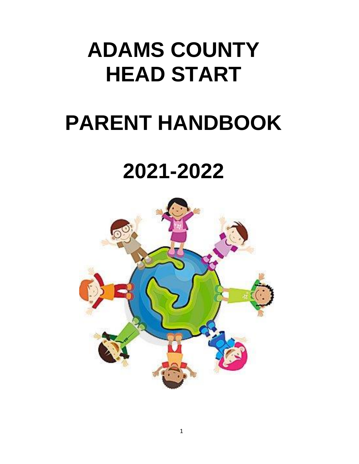# **ADAMS COUNTY HEAD START**

# **PARENT HANDBOOK**

# **2021-2022**

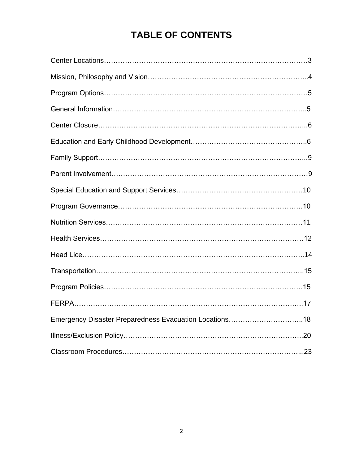# **TABLE OF CONTENTS**

| Emergency Disaster Preparedness Evacuation Locations18 |  |
|--------------------------------------------------------|--|
|                                                        |  |
|                                                        |  |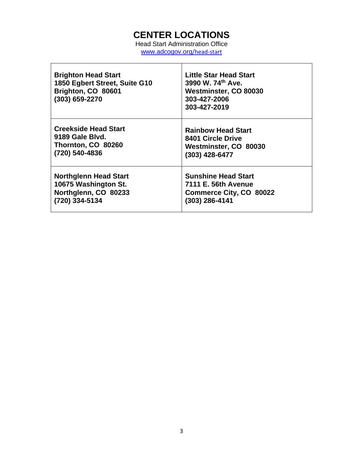# **CENTER LOCATIONS**

Head Start Administration Office [www.adcogov.org](http://www.adcogov.org/head-start)/head[-start](http://www.adcogov.org/head-start)

 $\overline{\Gamma}$ 

| <b>Brighton Head Start</b><br>1850 Egbert Street, Suite G10<br>Brighton, CO 80601<br>(303) 659-2270 | Little Star Head Start<br>3990 W. 74th Ave.<br>Westminster, CO 80030<br>303-427-2006<br>303-427-2019 |
|-----------------------------------------------------------------------------------------------------|------------------------------------------------------------------------------------------------------|
| <b>Creekside Head Start</b>                                                                         | <b>Rainbow Head Start</b>                                                                            |
| 9189 Gale Blyd.                                                                                     | 8401 Circle Drive                                                                                    |
| Thornton, CO 80260                                                                                  | Westminster, CO 80030                                                                                |
| (720) 540-4836                                                                                      | (303) 428-6477                                                                                       |
| <b>Northglenn Head Start</b>                                                                        | <b>Sunshine Head Start</b>                                                                           |
| 10675 Washington St.                                                                                | 7111 E. 56th Avenue                                                                                  |
| Northglenn, CO 80233                                                                                | <b>Commerce City, CO 80022</b>                                                                       |
| (720) 334-5134                                                                                      | (303) 286-4141                                                                                       |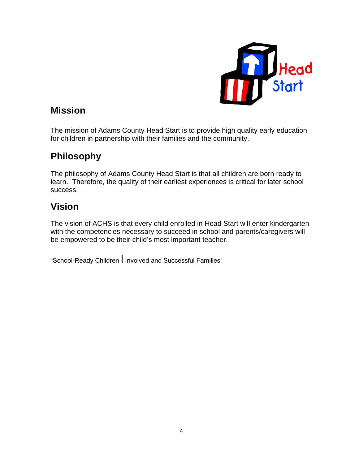

# **Mission**

The mission of Adams County Head Start is to provide high quality early education for children in partnership with their families and the community.

# **Philosophy**

The philosophy of Adams County Head Start is that all children are born ready to learn. Therefore, the quality of their earliest experiences is critical for later school success.

# **Vision**

The vision of ACHS is that every child enrolled in Head Start will enter kindergarten with the competencies necessary to succeed in school and parents/caregivers will be empowered to be their child's most important teacher.

"School-Ready Children l Involved and Successful Families"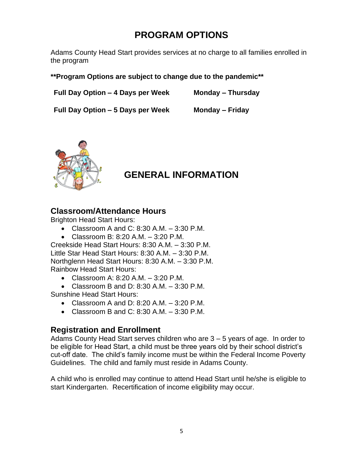# **PROGRAM OPTIONS**

Adams County Head Start provides services at no charge to all families enrolled in the program

#### **\*\*Program Options are subject to change due to the pandemic\*\***

**Full Day Option – 4 Days per Week Monday – Thursday**

**Full Day Option – 5 Days per Week Monday – Friday** 



# **GENERAL INFORMATION**

### **Classroom/Attendance Hours**

Brighton Head Start Hours:

- Classroom A and C: 8:30 A.M.  $-$  3:30 P.M.
- Classroom B: 8:20 A.M. 3:20 P.M.

Creekside Head Start Hours: 8:30 A.M. – 3:30 P.M. Little Star Head Start Hours: 8:30 A.M. – 3:30 P.M. Northglenn Head Start Hours: 8:30 A.M. – 3:30 P.M. Rainbow Head Start Hours:

- Classroom A: 8:20 A.M.  $-$  3:20 P.M.
- Classroom B and D: 8:30 A.M.  $-$  3:30 P.M. Sunshine Head Start Hours:
	- Classroom A and D: 8:20 A.M.  $-$  3:20 P.M.
	- Classroom B and C: 8:30 A.M.  $-$  3:30 P.M.

### **Registration and Enrollment**

Adams County Head Start serves children who are 3 – 5 years of age. In order to be eligible for Head Start, a child must be three years old by their school district's cut-off date. The child's family income must be within the Federal Income Poverty Guidelines. The child and family must reside in Adams County.

A child who is enrolled may continue to attend Head Start until he/she is eligible to start Kindergarten. Recertification of income eligibility may occur.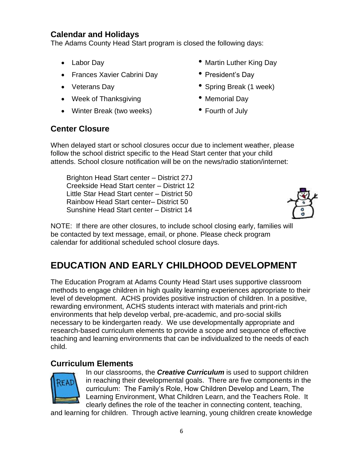# **Calendar and Holidays**

The Adams County Head Start program is closed the following days:

- 
- Frances Xavier Cabrini Day President's Day
- 
- Week of Thanksgiving  **Memorial Day**
- Winter Break (two weeks) Fourth of July
- Labor Day Martin Luther King Day
	-
- Veterans Day  **Spring Break (1 week)** 
	-
	-

# **Center Closure**

When delayed start or school closures occur due to inclement weather, please follow the school district specific to the Head Start center that your child attends. School closure notification will be on the news/radio station/internet:

Brighton Head Start center – District 27J Creekside Head Start center – District 12 Little Star Head Start center – District 50 Rainbow Head Start center– District 50 Sunshine Head Start center – District 14



NOTE: If there are other closures, to include school closing early, families will be contacted by text message, email, or phone. Please check program calendar for additional scheduled school closure days.

# **EDUCATION AND EARLY CHILDHOOD DEVELOPMENT**

The Education Program at Adams County Head Start uses supportive classroom methods to engage children in high quality learning experiences appropriate to their level of development. ACHS provides positive instruction of children. In a positive, rewarding environment, ACHS students interact with materials and print-rich environments that help develop verbal, pre-academic, and pro-social skills necessary to be kindergarten ready. We use developmentally appropriate and research-based curriculum elements to provide a scope and sequence of effective teaching and learning environments that can be individualized to the needs of each child.

### **Curriculum Elements**



In our classrooms, the *Creative Curriculum* is used to support children in reaching their developmental goals. There are five components in the curriculum: The Family's Role, How Children Develop and Learn, The Learning Environment, What Children Learn, and the Teachers Role. It clearly defines the role of the teacher in connecting content, teaching,

and learning for children. Through active learning, young children create knowledge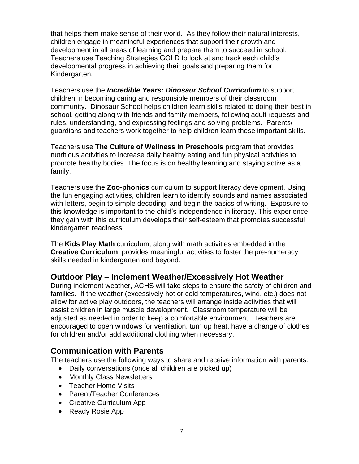that helps them make sense of their world. As they follow their natural interests, children engage in meaningful experiences that support their growth and development in all areas of learning and prepare them to succeed in school. Teachers use Teaching Strategies GOLD to look at and track each child's developmental progress in achieving their goals and preparing them for Kindergarten.

Teachers use the *Incredible Years: Dinosaur School Curriculum* to support children in becoming caring and responsible members of their classroom community. Dinosaur School helps children learn skills related to doing their best in school, getting along with friends and family members, following adult requests and rules, understanding, and expressing feelings and solving problems. Parents/ guardians and teachers work together to help children learn these important skills.

Teachers use **The Culture of Wellness in Preschools** program that provides nutritious activities to increase daily healthy eating and fun physical activities to promote healthy bodies. The focus is on healthy learning and staying active as a family.

Teachers use the **Zoo-phonics** curriculum to support literacy development. Using the fun engaging activities, children learn to identify sounds and names associated with letters, begin to simple decoding, and begin the basics of writing. Exposure to this knowledge is important to the child's independence in literacy. This experience they gain with this curriculum develops their self-esteem that promotes successful kindergarten readiness.

The **Kids Play Math** curriculum, along with math activities embedded in the **Creative Curriculum**, provides meaningful activities to foster the pre-numeracy skills needed in kindergarten and beyond.

### **Outdoor Play – Inclement Weather/Excessively Hot Weather**

During inclement weather, ACHS will take steps to ensure the safety of children and families. If the weather (excessively hot or cold temperatures, wind, etc.) does not allow for active play outdoors, the teachers will arrange inside activities that will assist children in large muscle development. Classroom temperature will be adjusted as needed in order to keep a comfortable environment. Teachers are encouraged to open windows for ventilation, turn up heat, have a change of clothes for children and/or add additional clothing when necessary.

### **Communication with Parents**

The teachers use the following ways to share and receive information with parents:

- Daily conversations (once all children are picked up)
- Monthly Class Newsletters
- Teacher Home Visits
- Parent/Teacher Conferences
- Creative Curriculum App
- Ready Rosie App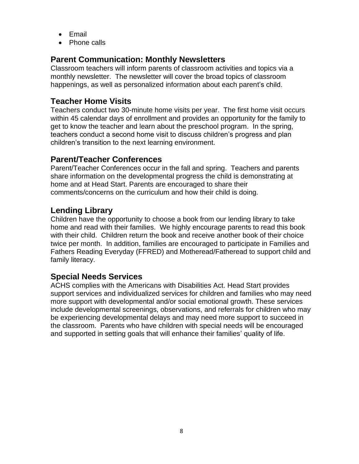- Email
- Phone calls

# **Parent Communication: Monthly Newsletters**

Classroom teachers will inform parents of classroom activities and topics via a monthly newsletter. The newsletter will cover the broad topics of classroom happenings, as well as personalized information about each parent's child.

# **Teacher Home Visits**

Teachers conduct two 30-minute home visits per year. The first home visit occurs within 45 calendar days of enrollment and provides an opportunity for the family to get to know the teacher and learn about the preschool program. In the spring, teachers conduct a second home visit to discuss children's progress and plan children's transition to the next learning environment.

# **Parent/Teacher Conferences**

Parent/Teacher Conferences occur in the fall and spring. Teachers and parents share information on the developmental progress the child is demonstrating at home and at Head Start. Parents are encouraged to share their comments/concerns on the curriculum and how their child is doing.

# **Lending Library**

Children have the opportunity to choose a book from our lending library to take home and read with their families. We highly encourage parents to read this book with their child. Children return the book and receive another book of their choice twice per month. In addition, families are encouraged to participate in Families and Fathers Reading Everyday (FFRED) and Motheread/Fatheread to support child and family literacy.

# **Special Needs Services**

ACHS complies with the Americans with Disabilities Act. Head Start provides support services and individualized services for children and families who may need more support with developmental and/or social emotional growth. These services include developmental screenings, observations, and referrals for children who may be experiencing developmental delays and may need more support to succeed in the classroom. Parents who have children with special needs will be encouraged and supported in setting goals that will enhance their families' quality of life.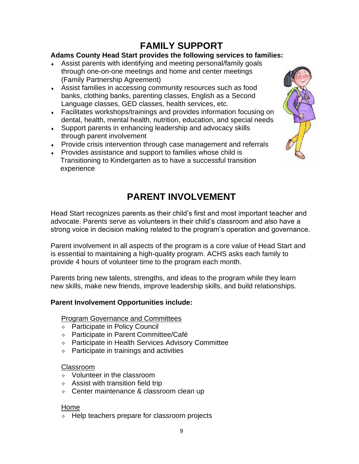# **FAMILY SUPPORT**

#### **Adams County Head Start provides the following services to families:**

- Assist parents with identifying and meeting personal/family goals through one-on-one meetings and home and center meetings (Family Partnership Agreement)
- Assist families in accessing community resources such as food banks, clothing banks, parenting classes, English as a Second Language classes, GED classes, health services, etc.
- Facilitates workshops/trainings and provides information focusing on dental, health, mental health, nutrition, education, and special needs
- Support parents in enhancing leadership and advocacy skills through parent involvement
- Provide crisis intervention through case management and referrals
- Provides assistance and support to families whose child is Transitioning to Kindergarten as to have a successful transition experience

# **PARENT INVOLVEMENT**

Head Start recognizes parents as their child's first and most important teacher and advocate. Parents serve as volunteers in their child's classroom and also have a strong voice in decision making related to the program's operation and governance.

Parent involvement in all aspects of the program is a core value of Head Start and is essential to maintaining a high-quality program. ACHS asks each family to provide 4 hours of volunteer time to the program each month.

Parents bring new talents, strengths, and ideas to the program while they learn new skills, make new friends, improve leadership skills, and build relationships.

#### **Parent Involvement Opportunities include:**

#### Program Governance and Committees

- $\triangle$  Participate in Policy Council
- $\div$  Participate in Parent Committee/Café
- $\lozenge$  Participate in Health Services Advisory Committee
- $\div$  Participate in trainings and activities

#### Classroom

- $\Diamond$  Volunteer in the classroom
- $\triangle$  Assist with transition field trip
- $\div$  Center maintenance & classroom clean up

#### Home

 $\div$  Help teachers prepare for classroom projects

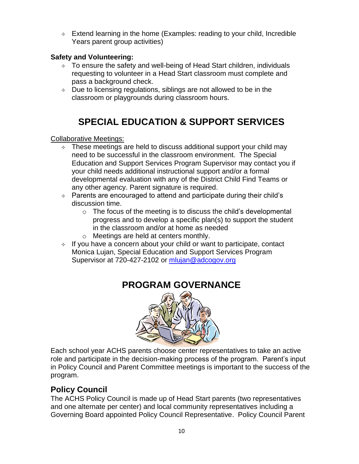$\div$  Extend learning in the home (Examples: reading to your child, Incredible Years parent group activities)

### **Safety and Volunteering:**

- $\div$  To ensure the safety and well-being of Head Start children, individuals requesting to volunteer in a Head Start classroom must complete and pass a background check.
- $\lozenge$  Due to licensing regulations, siblings are not allowed to be in the classroom or playgrounds during classroom hours.

# **SPECIAL EDUCATION & SUPPORT SERVICES**

#### Collaborative Meetings:

- These meetings are held to discuss additional support your child may need to be successful in the classroom environment. The Special Education and Support Services Program Supervisor may contact you if your child needs additional instructional support and/or a formal developmental evaluation with any of the District Child Find Teams or any other agency. Parent signature is required.
- $\div$  Parents are encouraged to attend and participate during their child's discussion time.
	- $\circ$  The focus of the meeting is to discuss the child's developmental progress and to develop a specific plan(s) to support the student in the classroom and/or at home as needed
	- o Meetings are held at centers monthly.
- $\rightarrow$  If you have a concern about your child or want to participate, contact Monica Lujan, Special Education and Support Services Program Supervisor at 720-427-2102 or [mlujan@adcogov.org](mailto:mlujan@adcogov.org)



# **PROGRAM GOVERNANCE**

Each school year ACHS parents choose center representatives to take an active role and participate in the decision-making process of the program. Parent's input in Policy Council and Parent Committee meetings is important to the success of the program.

# **Policy Council**

The ACHS Policy Council is made up of Head Start parents (two representatives and one alternate per center) and local community representatives including a Governing Board appointed Policy Council Representative. Policy Council Parent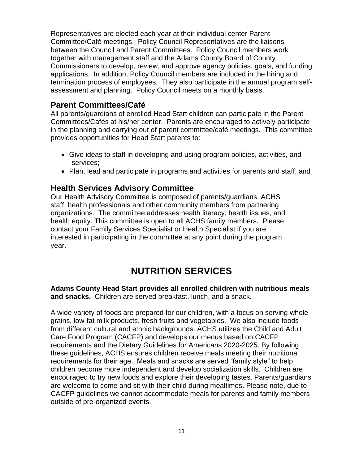Representatives are elected each year at their individual center Parent Committee/Café meetings. Policy Council Representatives are the liaisons between the Council and Parent Committees. Policy Council members work together with management staff and the Adams County Board of County Commissioners to develop, review, and approve agency policies, goals, and funding applications. In addition, Policy Council members are included in the hiring and termination process of employees. They also participate in the annual program selfassessment and planning. Policy Council meets on a monthly basis.

### **Parent Committees/Café**

All parents/guardians of enrolled Head Start children can participate in the Parent Committees/Cafés at his/her center. Parents are encouraged to actively participate in the planning and carrying out of parent committee/café meetings. This committee provides opportunities for Head Start parents to:

- Give ideas to staff in developing and using program policies, activities, and services;
- Plan, lead and participate in programs and activities for parents and staff; and

### **Health Services Advisory Committee**

Our Health Advisory Committee is composed of parents/guardians, ACHS staff, health professionals and other community members from partnering organizations. The committee addresses health literacy, health issues, and health equity. This committee is open to all ACHS family members. Please contact your Family Services Specialist or Health Specialist if you are interested in participating in the committee at any point during the program year.

# **NUTRITION SERVICES**

**Adams County Head Start provides all enrolled children with nutritious meals and snacks.** Children are served breakfast, lunch, and a snack.

A wide variety of foods are prepared for our children, with a focus on serving whole grains, low-fat milk products, fresh fruits and vegetables. We also include foods from different cultural and ethnic backgrounds. ACHS utilizes the Child and Adult Care Food Program (CACFP) and develops our menus based on CACFP requirements and the Dietary Guidelines for Americans 2020-2025. By following these guidelines, ACHS ensures children receive meals meeting their nutritional requirements for their age. Meals and snacks are served "family style" to help children become more independent and develop socialization skills. Children are encouraged to try new foods and explore their developing tastes. Parents/guardians are welcome to come and sit with their child during mealtimes. Please note, due to CACFP guidelines we cannot accommodate meals for parents and family members outside of pre-organized events.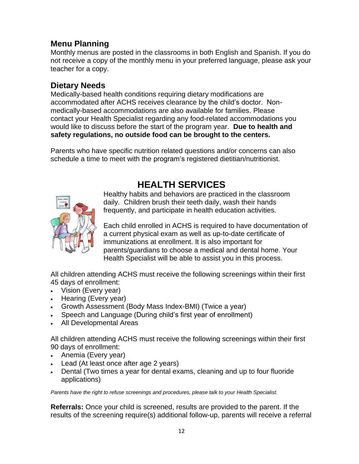# **Menu Planning**

Monthly menus are posted in the classrooms in both English and Spanish. If you do not receive a copy of the monthly menu in your preferred language, please ask your teacher for a copy.

### **Dietary Needs**

Medically-based health conditions requiring dietary modifications are accommodated after ACHS receives clearance by the child's doctor. Nonmedically-based accommodations are also available for families. Please contact your Health Specialist regarding any food-related accommodations you would like to discuss before the start of the program year. **Due to health and safety regulations, no outside food can be brought to the centers.**

Parents who have specific nutrition related questions and/or concerns can also schedule a time to meet with the program's registered dietitian/nutritionist.

# **HEALTH SERVICES**



Healthy habits and behaviors are practiced in the classroom daily. Children brush their teeth daily, wash their hands frequently, and participate in health education activities.

Each child enrolled in ACHS is required to have documentation of a current physical exam as well as up-to-date certificate of immunizations at enrollment. It is also important for parents/guardians to choose a medical and dental home. Your Health Specialist will be able to assist you in this process.

All children attending ACHS must receive the following screenings within their first 45 days of enrollment:

- Vision (Every year)
- Hearing (Every year)
- Growth Assessment (Body Mass Index-BMI) (Twice a year)
- Speech and Language (During child's first year of enrollment)
- All Developmental Areas

All children attending ACHS must receive the following screenings within their first 90 days of enrollment:

- Anemia (Every year)
- Lead (At least once after age 2 years)
- Dental (Two times a year for dental exams, cleaning and up to four fluoride applications)

*Parents have the right to refuse screenings and procedures, please talk to your Health Specialist.*

**Referrals:** Once your child is screened, results are provided to the parent. If the results of the screening require(s) additional follow-up, parents will receive a referral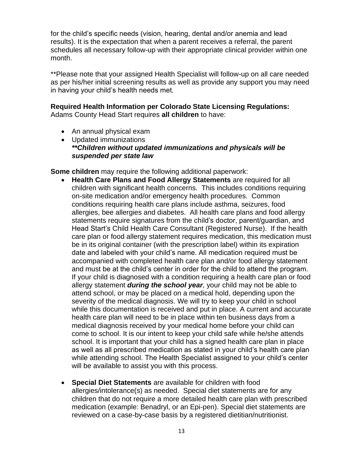for the child's specific needs (vision, hearing, dental and/or anemia and lead results). It is the expectation that when a parent receives a referral, the parent schedules all necessary follow-up with their appropriate clinical provider within one month.

\*\*Please note that your assigned Health Specialist will follow-up on all care needed as per his/her initial screening results as well as provide any support you may need in having your child's health needs met.

# **Required Health Information per Colorado State Licensing Regulations:**

Adams County Head Start requires **all children** to have:

- An annual physical exam
- Updated immunizations *\*\*Children without updated immunizations and physicals will be suspended per state law*

**Some children** may require the following additional paperwork:

- **Health Care Plans and Food Allergy Statements** are required for all children with significant health concerns. This includes conditions requiring on-site medication and/or emergency health procedures. Common conditions requiring health care plans include asthma, seizures, food allergies, bee allergies and diabetes. All health care plans and food allergy statements require signatures from the child's doctor, parent/guardian, and Head Start's Child Health Care Consultant (Registered Nurse). If the health care plan or food allergy statement requires medication, this medication must be in its original container (with the prescription label) within its expiration date and labeled with your child's name. All medication required must be accompanied with completed health care plan and/or food allergy statement and must be at the child's center in order for the child to attend the program. If your child is diagnosed with a condition requiring a health care plan or food allergy statement *during the school year*, your child may not be able to attend school, or may be placed on a medical hold, depending upon the severity of the medical diagnosis. We will try to keep your child in school while this documentation is received and put in place. A current and accurate health care plan will need to be in place within ten business days from a medical diagnosis received by your medical home before your child can come to school. It is our intent to keep your child safe while he/she attends school. It is important that your child has a signed health care plan in place as well as all prescribed medication as stated in your child's health care plan while attending school. The Health Specialist assigned to your child's center will be available to assist you with this process.
- **Special Diet Statements** are available for children with food allergies/intolerance(s) as needed. Special diet statements are for any children that do not require a more detailed health care plan with prescribed medication (example: Benadryl, or an Epi-pen). Special diet statements are reviewed on a case-by-case basis by a registered dietitian/nutritionist.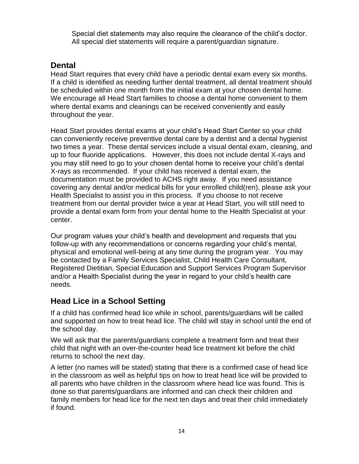Special diet statements may also require the clearance of the child's doctor. All special diet statements will require a parent/guardian signature.

### **Dental**

Head Start requires that every child have a periodic dental exam every six months. If a child is identified as needing further dental treatment, all dental treatment should be scheduled within one month from the initial exam at your chosen dental home. We encourage all Head Start families to choose a dental home convenient to them where dental exams and cleanings can be received conveniently and easily throughout the year.

Head Start provides dental exams at your child's Head Start Center so your child can conveniently receive preventive dental care by a dentist and a dental hygienist two times a year. These dental services include a visual dental exam, cleaning, and up to four fluoride applications. However, this does not include dental X-rays and you may still need to go to your chosen dental home to receive your child's dental X-rays as recommended. If your child has received a dental exam, the documentation must be provided to ACHS right away. If you need assistance covering any dental and/or medical bills for your enrolled child(ren), please ask your Health Specialist to assist you in this process. If you choose to not receive treatment from our dental provider twice a year at Head Start, you will still need to provide a dental exam form from your dental home to the Health Specialist at your center.

Our program values your child's health and development and requests that you follow-up with any recommendations or concerns regarding your child's mental, physical and emotional well-being at any time during the program year. You may be contacted by a Family Services Specialist, Child Health Care Consultant, Registered Dietitian, Special Education and Support Services Program Supervisor and/or a Health Specialist during the year in regard to your child's health care needs.

### **Head Lice in a School Setting**

If a child has confirmed head lice while in school, parents/guardians will be called and supported on how to treat head lice. The child will stay in school until the end of the school day.

We will ask that the parents/guardians complete a treatment form and treat their child that night with an over-the-counter head lice treatment kit before the child returns to school the next day.

A letter (no names will be stated) stating that there is a confirmed case of head lice in the classroom as well as helpful tips on how to treat head lice will be provided to all parents who have children in the classroom where head lice was found. This is done so that parents/guardians are informed and can check their children and family members for head lice for the next ten days and treat their child immediately if found.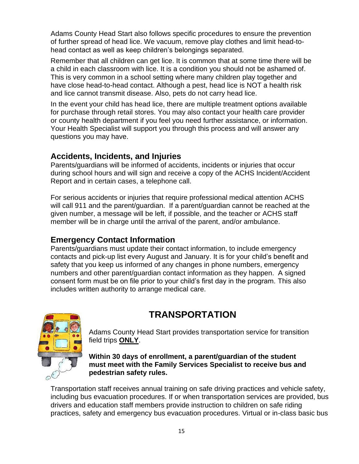Adams County Head Start also follows specific procedures to ensure the prevention of further spread of head lice. We vacuum, remove play clothes and limit head-tohead contact as well as keep children's belongings separated.

Remember that all children can get lice. It is common that at some time there will be a child in each classroom with lice. It is a condition you should not be ashamed of. This is very common in a school setting where many children play together and have close head-to-head contact. Although a pest, head lice is NOT a health risk and lice cannot transmit disease. Also, pets do not carry head lice.

In the event your child has head lice, there are multiple treatment options available for purchase through retail stores. You may also contact your health care provider or county health department if you feel you need further assistance, or information. Your Health Specialist will support you through this process and will answer any questions you may have.

### **Accidents, Incidents, and Injuries**

Parents/guardians will be informed of accidents, incidents or injuries that occur during school hours and will sign and receive a copy of the ACHS Incident/Accident Report and in certain cases, a telephone call.

For serious accidents or injuries that require professional medical attention ACHS will call 911 and the parent/guardian. If a parent/guardian cannot be reached at the given number, a message will be left, if possible, and the teacher or ACHS staff member will be in charge until the arrival of the parent, and/or ambulance.

### **Emergency Contact Information**

Parents/guardians must update their contact information, to include emergency contacts and pick-up list every August and January. It is for your child's benefit and safety that you keep us informed of any changes in phone numbers, emergency numbers and other parent/guardian contact information as they happen. A signed consent form must be on file prior to your child's first day in the program. This also includes written authority to arrange medical care.

# **TRANSPORTATION**



Adams County Head Start provides transportation service for transition field trips **ONLY**.

**Within 30 days of enrollment, a parent/guardian of the student must meet with the Family Services Specialist to receive bus and pedestrian safety rules.**

Transportation staff receives annual training on safe driving practices and vehicle safety, including bus evacuation procedures. If or when transportation services are provided, bus drivers and education staff members provide instruction to children on safe riding practices, safety and emergency bus evacuation procedures. Virtual or in-class basic bus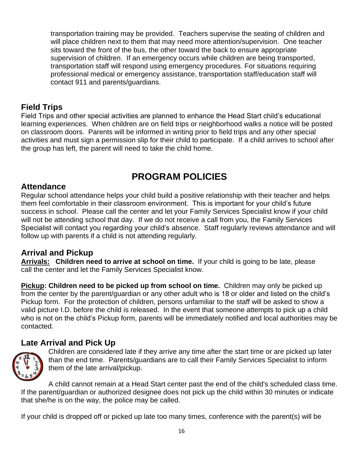transportation training may be provided. Teachers supervise the seating of children and will place children next to them that may need more attention/supervision. One teacher sits toward the front of the bus, the other toward the back to ensure appropriate supervision of children. If an emergency occurs while children are being transported, transportation staff will respond using emergency procedures. For situations requiring professional medical or emergency assistance, transportation staff/education staff will contact 911 and parents/guardians.

# **Field Trips**

Field Trips and other special activities are planned to enhance the Head Start child's educational learning experiences. When children are on field trips or neighborhood walks a notice will be posted on classroom doors. Parents will be informed in writing prior to field trips and any other special activities and must sign a permission slip for their child to participate. If a child arrives to school after the group has left, the parent will need to take the child home.

# **PROGRAM POLICIES**

### **Attendance**

Regular school attendance helps your child build a positive relationship with their teacher and helps them feel comfortable in their classroom environment. This is important for your child's future success in school. Please call the center and let your Family Services Specialist know if your child will not be attending school that day. If we do not receive a call from you, the Family Services Specialist will contact you regarding your child's absence. Staff regularly reviews attendance and will follow up with parents if a child is not attending regularly.

# **Arrival and Pickup**

**Arrivals: Children need to arrive at school on time.** If your child is going to be late, please call the center and let the Family Services Specialist know.

**Pickup: Children need to be picked up from school on time.** Children may only be picked up from the center by the parent/guardian or any other adult who is 18 or older and listed on the child's Pickup form. For the protection of children, persons unfamiliar to the staff will be asked to show a valid picture I.D. before the child is released. In the event that someone attempts to pick up a child who is not on the child's Pickup form, parents will be immediately notified and local authorities may be contacted.

# **Late Arrival and Pick Up**



Children are considered late if they arrive any time after the start time or are picked up later than the end time. Parents/guardians are to call their Family Services Specialist to inform them of the late arrival/pickup.

A child cannot remain at a Head Start center past the end of the child's scheduled class time. If the parent/guardian or authorized designee does not pick up the child within 30 minutes or indicate that she/he is on the way, the police may be called.

If your child is dropped off or picked up late too many times, conference with the parent(s) will be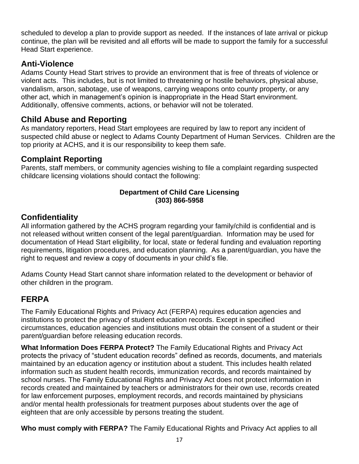scheduled to develop a plan to provide support as needed. If the instances of late arrival or pickup continue, the plan will be revisited and all efforts will be made to support the family for a successful Head Start experience.

# **Anti-Violence**

Adams County Head Start strives to provide an environment that is free of threats of violence or violent acts. This includes, but is not limited to threatening or hostile behaviors, physical abuse, vandalism, arson, sabotage, use of weapons, carrying weapons onto county property, or any other act, which in management's opinion is inappropriate in the Head Start environment. Additionally, offensive comments, actions, or behavior will not be tolerated.

# **Child Abuse and Reporting**

As mandatory reporters, Head Start employees are required by law to report any incident of suspected child abuse or neglect to Adams County Department of Human Services. Children are the top priority at ACHS, and it is our responsibility to keep them safe.

# **Complaint Reporting**

Parents, staff members, or community agencies wishing to file a complaint regarding suspected childcare licensing violations should contact the following:

#### **Department of Child Care Licensing (303) 866-5958**

# **Confidentiality**

All information gathered by the ACHS program regarding your family/child is confidential and is not released without written consent of the legal parent/guardian. Information may be used for documentation of Head Start eligibility, for local, state or federal funding and evaluation reporting requirements, litigation procedures, and education planning. As a parent/guardian, you have the right to request and review a copy of documents in your child's file.

Adams County Head Start cannot share information related to the development or behavior of other children in the program.

# **FERPA**

The Family Educational Rights and Privacy Act (FERPA) requires education agencies and institutions to protect the privacy of student education records. Except in specified circumstances, education agencies and institutions must obtain the consent of a student or their parent/guardian before releasing education records.

**What Information Does FERPA Protect?** The Family Educational Rights and Privacy Act protects the privacy of "student education records" defined as records, documents, and materials maintained by an education agency or institution about a student. This includes health related information such as student health records, immunization records, and records maintained by school nurses. The Family Educational Rights and Privacy Act does not protect information in records created and maintained by teachers or administrators for their own use, records created for law enforcement purposes, employment records, and records maintained by physicians and/or mental health professionals for treatment purposes about students over the age of eighteen that are only accessible by persons treating the student.

**Who must comply with FERPA?** The Family Educational Rights and Privacy Act applies to all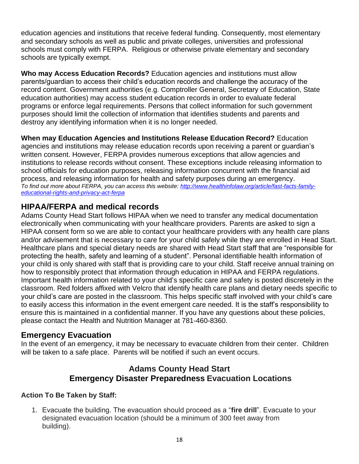education agencies and institutions that receive federal funding. Consequently, most elementary and secondary schools as well as public and private colleges, universities and professional schools must comply with FERPA. Religious or otherwise private elementary and secondary schools are typically exempt.

**Who may Access Education Records?** Education agencies and institutions must allow parents/guardian to access their child's education records and challenge the accuracy of the record content. Government authorities (e.g. Comptroller General, Secretary of Education, State education authorities) may access student education records in order to evaluate federal programs or enforce legal requirements. Persons that collect information for such government purposes should limit the collection of information that identifies students and parents and destroy any identifying information when it is no longer needed.

**When may Education Agencies and Institutions Release Education Record?** Education agencies and institutions may release education records upon receiving a parent or guardian's written consent. However, FERPA provides numerous exceptions that allow agencies and institutions to release records without consent. These exceptions include releasing information to school officials for education purposes, releasing information concurrent with the financial aid process, and releasing information for health and safety purposes during an emergency. *To find out more about FERPA, you can access this website: [http://www.healthinfolaw.org/article/fast-facts-family](http://www.healthinfolaw.org/article/fast-facts-family-educational-rights-and-privacy-act-ferpa)[educational-rights-and-privacy-act-ferpa](http://www.healthinfolaw.org/article/fast-facts-family-educational-rights-and-privacy-act-ferpa)*

# **HIPAA/FERPA and medical records**

Adams County Head Start follows HIPAA when we need to transfer any medical documentation electronically when communicating with your healthcare providers. Parents are asked to sign a HIPAA consent form so we are able to contact your healthcare providers with any health care plans and/or advisement that is necessary to care for your child safely while they are enrolled in Head Start. Healthcare plans and special dietary needs are shared with Head Start staff that are "responsible for protecting the health, safety and learning of a student". Personal identifiable health information of your child is only shared with staff that is providing care to your child. Staff receive annual training on how to responsibly protect that information through education in HIPAA and FERPA regulations. Important health information related to your child's specific care and safety is posted discretely in the classroom. Red folders affixed with Velcro that identify health care plans and dietary needs specific to your child's care are posted in the classroom. This helps specific staff involved with your child's care to easily access this information in the event emergent care needed. It is the staff's responsibility to ensure this is maintained in a confidential manner. If you have any questions about these policies, please contact the Health and Nutrition Manager at 781-460-8360.

### **Emergency Evacuation**

In the event of an emergency, it may be necessary to evacuate children from their center. Children will be taken to a safe place. Parents will be notified if such an event occurs.

### **Adams County Head Start Emergency Disaster Preparedness Evacuation Locations**

### **Action To Be Taken by Staff:**

1. Evacuate the building. The evacuation should proceed as a "**fire drill**". Evacuate to your designated evacuation location (should be a minimum of 300 feet away from building).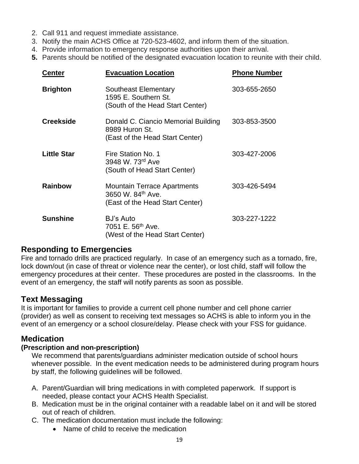- 2. Call 911 and request immediate assistance.
- 3. Notify the main ACHS Office at 720-523-4602, and inform them of the situation.
- 4. Provide information to emergency response authorities upon their arrival.
- **5.** Parents should be notified of the designated evacuation location to reunite with their child.

| <b>Center</b>      | <b>Evacuation Location</b>                                                                 | <b>Phone Number</b> |
|--------------------|--------------------------------------------------------------------------------------------|---------------------|
| <b>Brighton</b>    | <b>Southeast Elementary</b><br>1595 E. Southern St.<br>(South of the Head Start Center)    | 303-655-2650        |
| <b>Creekside</b>   | Donald C. Ciancio Memorial Building<br>8989 Huron St.<br>(East of the Head Start Center)   | 303-853-3500        |
| <b>Little Star</b> | Fire Station No. 1<br>3948 W. 73rd Ave<br>(South of Head Start Center)                     | 303-427-2006        |
| <b>Rainbow</b>     | <b>Mountain Terrace Apartments</b><br>3650 W. 84th Ave.<br>(East of the Head Start Center) | 303-426-5494        |
| <b>Sunshine</b>    | <b>BJ's Auto</b><br>7051 E. 56 <sup>th</sup> Ave.<br>(West of the Head Start Center)       | 303-227-1222        |

### **Responding to Emergencies**

Fire and tornado drills are practiced regularly. In case of an emergency such as a tornado, fire, lock down/out (in case of threat or violence near the center), or lost child, staff will follow the emergency procedures at their center. These procedures are posted in the classrooms. In the event of an emergency, the staff will notify parents as soon as possible.

### **Text Messaging**

It is important for families to provide a current cell phone number and cell phone carrier (provider) as well as consent to receiving text messages so ACHS is able to inform you in the event of an emergency or a school closure/delay. Please check with your FSS for guidance.

### **Medication**

#### **(Prescription and non-prescription)**

We recommend that parents/guardians administer medication outside of school hours whenever possible. In the event medication needs to be administered during program hours by staff, the following guidelines will be followed.

- A. Parent/Guardian will bring medications in with completed paperwork. If support is needed, please contact your ACHS Health Specialist.
- B. Medication must be in the original container with a readable label on it and will be stored out of reach of children.
- C. The medication documentation must include the following:
	- Name of child to receive the medication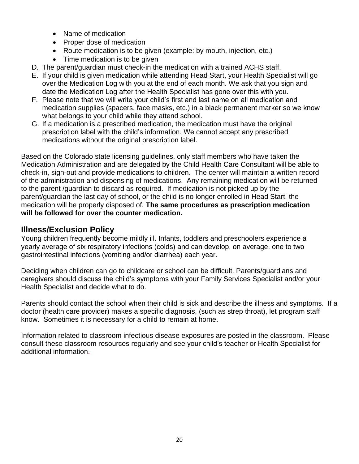- Name of medication
- Proper dose of medication
- Route medication is to be given (example: by mouth, injection, etc.)
- Time medication is to be given
- D. The parent/guardian must check-in the medication with a trained ACHS staff.
- E. If your child is given medication while attending Head Start, your Health Specialist will go over the Medication Log with you at the end of each month. We ask that you sign and date the Medication Log after the Health Specialist has gone over this with you.
- F. Please note that we will write your child's first and last name on all medication and medication supplies (spacers, face masks, etc.) in a black permanent marker so we know what belongs to your child while they attend school.
- G. If a medication is a prescribed medication, the medication must have the original prescription label with the child's information. We cannot accept any prescribed medications without the original prescription label.

Based on the Colorado state licensing guidelines, only staff members who have taken the Medication Administration and are delegated by the Child Health Care Consultant will be able to check-in, sign-out and provide medications to children. The center will maintain a written record of the administration and dispensing of medications. Any remaining medication will be returned to the parent /guardian to discard as required. If medication is not picked up by the parent/guardian the last day of school, or the child is no longer enrolled in Head Start, the medication will be properly disposed of. **The same procedures as prescription medication will be followed for over the counter medication.**

# **Illness/Exclusion Policy**

Young children frequently become mildly ill. Infants, toddlers and preschoolers experience a yearly average of six respiratory infections (colds) and can develop, on average, one to two gastrointestinal infections (vomiting and/or diarrhea) each year.

Deciding when children can go to childcare or school can be difficult. Parents/guardians and caregivers should discuss the child's symptoms with your Family Services Specialist and/or your Health Specialist and decide what to do.

Parents should contact the school when their child is sick and describe the illness and symptoms. If a doctor (health care provider) makes a specific diagnosis, (such as strep throat), let program staff know. Sometimes it is necessary for a child to remain at home.

Information related to classroom infectious disease exposures are posted in the classroom. Please consult these classroom resources regularly and see your child's teacher or Health Specialist for additional information.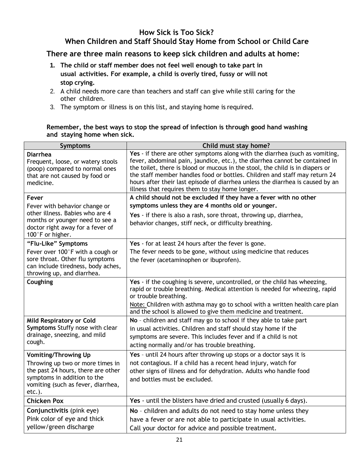#### **How Sick is Too Sick?**

# **When Children and Staff Should Stay Home from School or Child Care**

#### **There are three main reasons to keep sick children and adults at home:**

- **1. The child or staff member does not feel well enough to take part in usual activities. For example, a child is overly tired, fussy or will not stop crying.**
- 2. A child needs more care than teachers and staff can give while still caring for the other children.
- 3. The symptom or illness is on this list, and staying home is required.

#### **Remember, the best ways to stop the spread of infection is through good hand washing and staying home when sick.**

| Symptoms                                                                                                                                                    | Child must stay home?                                                                                                                                                                                                                                                                                                                                                                                                                                           |
|-------------------------------------------------------------------------------------------------------------------------------------------------------------|-----------------------------------------------------------------------------------------------------------------------------------------------------------------------------------------------------------------------------------------------------------------------------------------------------------------------------------------------------------------------------------------------------------------------------------------------------------------|
| <b>Diarrhea</b><br>Frequent, loose, or watery stools<br>(poop) compared to normal ones<br>that are not caused by food or<br>medicine.                       | Yes - if there are other symptoms along with the diarrhea (such as vomiting,<br>fever, abdominal pain, jaundice, etc.), the diarrhea cannot be contained in<br>the toilet, there is blood or mucous in the stool, the child is in diapers or<br>the staff member handles food or bottles. Children and staff may return 24<br>hours after their last episode of diarrhea unless the diarrhea is caused by an<br>illness that requires them to stay home longer. |
| Fever                                                                                                                                                       | A child should not be excluded if they have a fever with no other                                                                                                                                                                                                                                                                                                                                                                                               |
| Fever with behavior change or<br>other illness. Babies who are 4<br>months or younger need to see a<br>doctor right away for a fever of<br>100°F or higher. | symptoms unless they are 4 months old or younger.                                                                                                                                                                                                                                                                                                                                                                                                               |
|                                                                                                                                                             | Yes - if there is also a rash, sore throat, throwing up, diarrhea,<br>behavior changes, stiff neck, or difficulty breathing.                                                                                                                                                                                                                                                                                                                                    |
| "Flu-Like" Symptoms                                                                                                                                         | Yes - for at least 24 hours after the fever is gone.                                                                                                                                                                                                                                                                                                                                                                                                            |
| Fever over 100°F with a cough or                                                                                                                            | The fever needs to be gone, without using medicine that reduces                                                                                                                                                                                                                                                                                                                                                                                                 |
| sore throat. Other flu symptoms<br>can include tiredness, body aches,<br>throwing up, and diarrhea.                                                         | the fever (acetaminophen or ibuprofen).                                                                                                                                                                                                                                                                                                                                                                                                                         |
| Coughing                                                                                                                                                    | Yes - if the coughing is severe, uncontrolled, or the child has wheezing,<br>rapid or trouble breathing. Medical attention is needed for wheezing, rapid<br>or trouble breathing.                                                                                                                                                                                                                                                                               |
|                                                                                                                                                             | Note: Children with asthma may go to school with a written health care plan<br>and the school is allowed to give them medicine and treatment.                                                                                                                                                                                                                                                                                                                   |
| <b>Mild Respiratory or Cold</b>                                                                                                                             | No - children and staff may go to school if they able to take part                                                                                                                                                                                                                                                                                                                                                                                              |
| Symptoms Stuffy nose with clear<br>drainage, sneezing, and mild                                                                                             | in usual activities. Children and staff should stay home if the                                                                                                                                                                                                                                                                                                                                                                                                 |
| cough.                                                                                                                                                      | symptoms are severe. This includes fever and if a child is not<br>acting normally and/or has trouble breathing.                                                                                                                                                                                                                                                                                                                                                 |
| <b>Vomiting/Throwing Up</b>                                                                                                                                 | Yes - until 24 hours after throwing up stops or a doctor says it is                                                                                                                                                                                                                                                                                                                                                                                             |
| Throwing up two or more times in                                                                                                                            | not contagious. If a child has a recent head injury, watch for                                                                                                                                                                                                                                                                                                                                                                                                  |
| the past 24 hours, there are other<br>symptoms in addition to the                                                                                           | other signs of illness and for dehydration. Adults who handle food                                                                                                                                                                                                                                                                                                                                                                                              |
| vomiting (such as fever, diarrhea,<br>$etc.$ ).                                                                                                             | and bottles must be excluded.                                                                                                                                                                                                                                                                                                                                                                                                                                   |
| <b>Chicken Pox</b>                                                                                                                                          | Yes - until the blisters have dried and crusted (usually 6 days).                                                                                                                                                                                                                                                                                                                                                                                               |
| Conjunctivitis (pink eye)                                                                                                                                   | No - children and adults do not need to stay home unless they                                                                                                                                                                                                                                                                                                                                                                                                   |
| Pink color of eye and thick                                                                                                                                 | have a fever or are not able to participate in usual activities.                                                                                                                                                                                                                                                                                                                                                                                                |
| yellow/green discharge                                                                                                                                      | Call your doctor for advice and possible treatment.                                                                                                                                                                                                                                                                                                                                                                                                             |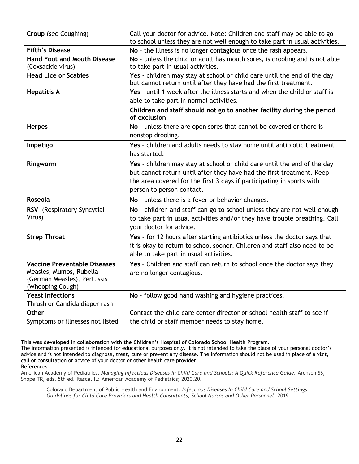| Croup (see Coughing)                                                                                              | Call your doctor for advice. Note: Children and staff may be able to go<br>to school unless they are not well enough to take part in usual activities.                                                                                                  |
|-------------------------------------------------------------------------------------------------------------------|---------------------------------------------------------------------------------------------------------------------------------------------------------------------------------------------------------------------------------------------------------|
| <b>Fifth's Disease</b>                                                                                            | No - the illness is no longer contagious once the rash appears.                                                                                                                                                                                         |
| <b>Hand Foot and Mouth Disease</b><br>(Coxsackie virus)                                                           | No - unless the child or adult has mouth sores, is drooling and is not able<br>to take part in usual activities.                                                                                                                                        |
| <b>Head Lice or Scabies</b>                                                                                       | Yes - children may stay at school or child care until the end of the day<br>but cannot return until after they have had the first treatment.                                                                                                            |
| <b>Hepatitis A</b>                                                                                                | Yes - until 1 week after the illness starts and when the child or staff is<br>able to take part in normal activities.                                                                                                                                   |
|                                                                                                                   | Children and staff should not go to another facility during the period<br>of exclusion.                                                                                                                                                                 |
| <b>Herpes</b>                                                                                                     | No - unless there are open sores that cannot be covered or there is<br>nonstop drooling.                                                                                                                                                                |
| Impetigo                                                                                                          | Yes - children and adults needs to stay home until antibiotic treatment<br>has started.                                                                                                                                                                 |
| Ringworm                                                                                                          | Yes - children may stay at school or child care until the end of the day<br>but cannot return until after they have had the first treatment. Keep<br>the area covered for the first 3 days if participating in sports with<br>person to person contact. |
| Roseola                                                                                                           | No - unless there is a fever or behavior changes.                                                                                                                                                                                                       |
| RSV (Respiratory Syncytial<br>Virus)                                                                              | No - children and staff can go to school unless they are not well enough<br>to take part in usual activities and/or they have trouble breathing. Call<br>your doctor for advice.                                                                        |
| <b>Strep Throat</b>                                                                                               | Yes - for 12 hours after starting antibiotics unless the doctor says that<br>it is okay to return to school sooner. Children and staff also need to be<br>able to take part in usual activities.                                                        |
| <b>Vaccine Preventable Diseases</b><br>Measles, Mumps, Rubella<br>(German Measles), Pertussis<br>(Whooping Cough) | Yes - Children and staff can return to school once the doctor says they<br>are no longer contagious.                                                                                                                                                    |
| <b>Yeast Infections</b><br>Thrush or Candida diaper rash                                                          | No - follow good hand washing and hygiene practices.                                                                                                                                                                                                    |
| Other                                                                                                             | Contact the child care center director or school health staff to see if                                                                                                                                                                                 |
| Symptoms or illnesses not listed                                                                                  | the child or staff member needs to stay home.                                                                                                                                                                                                           |

#### **This was developed in collaboration with the Children's Hospital of Colorado School Health Program.**

The information presented is intended for educational purposes only. It is not intended to take the place of your personal doctor's advice and is not intended to diagnose, treat, cure or prevent any disease. The information should not be used in place of a visit, call or consultation or advice of your doctor or other health care provider. References

American Academy of Pediatrics. *Managing Infectious Diseases in Child Care and Schools: A Quick Reference Guide.* Aronson SS, Shope TR, eds. 5th ed. Itasca, IL: American Academy of Pediatrics; 2020.20.

Colorado Department of Public Health and Environment. *Infectious Diseases In Child Care and School Settings: Guidelines for Child Care Providers and Health Consultants, School Nurses and Other Personnel*. 2019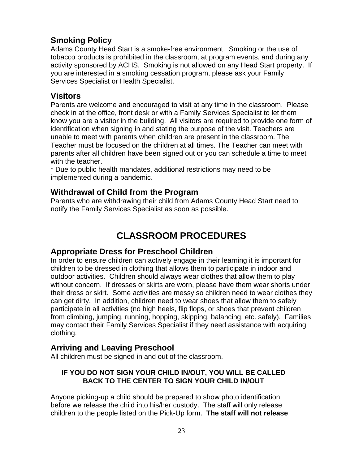### **Smoking Policy**

Adams County Head Start is a smoke-free environment. Smoking or the use of tobacco products is prohibited in the classroom, at program events, and during any activity sponsored by ACHS. Smoking is not allowed on any Head Start property. If you are interested in a smoking cessation program, please ask your Family Services Specialist or Health Specialist.

#### **Visitors**

Parents are welcome and encouraged to visit at any time in the classroom. Please check in at the office, front desk or with a Family Services Specialist to let them know you are a visitor in the building. All visitors are required to provide one form of identification when signing in and stating the purpose of the visit. Teachers are unable to meet with parents when children are present in the classroom. The Teacher must be focused on the children at all times. The Teacher can meet with parents after all children have been signed out or you can schedule a time to meet with the teacher.

\* Due to public health mandates, additional restrictions may need to be implemented during a pandemic.

### **Withdrawal of Child from the Program**

Parents who are withdrawing their child from Adams County Head Start need to notify the Family Services Specialist as soon as possible.

# **CLASSROOM PROCEDURES**

### **Appropriate Dress for Preschool Children**

In order to ensure children can actively engage in their learning it is important for children to be dressed in clothing that allows them to participate in indoor and outdoor activities. Children should always wear clothes that allow them to play without concern. If dresses or skirts are worn, please have them wear shorts under their dress or skirt. Some activities are messy so children need to wear clothes they can get dirty. In addition, children need to wear shoes that allow them to safely participate in all activities (no high heels, flip flops, or shoes that prevent children from climbing, jumping, running, hopping, skipping, balancing, etc. safely). Families may contact their Family Services Specialist if they need assistance with acquiring clothing.

#### **Arriving and Leaving Preschool**

All children must be signed in and out of the classroom.

#### **IF YOU DO NOT SIGN YOUR CHILD IN/OUT, YOU WILL BE CALLED BACK TO THE CENTER TO SIGN YOUR CHILD IN/OUT**

Anyone picking-up a child should be prepared to show photo identification before we release the child into his/her custody. The staff will only release children to the people listed on the Pick-Up form. **The staff will not release**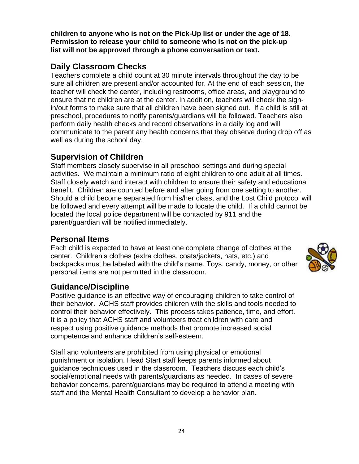**children to anyone who is not on the Pick-Up list or under the age of 18. Permission to release your child to someone who is not on the pick-up list will not be approved through a phone conversation or text.** 

# **Daily Classroom Checks**

Teachers complete a child count at 30 minute intervals throughout the day to be sure all children are present and/or accounted for. At the end of each session, the teacher will check the center, including restrooms, office areas, and playground to ensure that no children are at the center. In addition, teachers will check the signin/out forms to make sure that all children have been signed out. If a child is still at preschool, procedures to notify parents/guardians will be followed. Teachers also perform daily health checks and record observations in a daily log and will communicate to the parent any health concerns that they observe during drop off as well as during the school day.

# **Supervision of Children**

Staff members closely supervise in all preschool settings and during special activities. We maintain a minimum ratio of eight children to one adult at all times. Staff closely watch and interact with children to ensure their safety and educational benefit. Children are counted before and after going from one setting to another. Should a child become separated from his/her class, and the Lost Child protocol will be followed and every attempt will be made to locate the child. If a child cannot be located the local police department will be contacted by 911 and the parent/guardian will be notified immediately.

### **Personal Items**

Each child is expected to have at least one complete change of clothes at the center. Children's clothes (extra clothes, coats/jackets, hats, etc.) and backpacks must be labeled with the child's name. Toys, candy, money, or other personal items are not permitted in the classroom.

### **Guidance/Discipline**

Positive guidance is an effective way of encouraging children to take control of their behavior. ACHS staff provides children with the skills and tools needed to control their behavior effectively. This process takes patience, time, and effort. It is a policy that ACHS staff and volunteers treat children with care and respect using positive guidance methods that promote increased social competence and enhance children's self-esteem.

Staff and volunteers are prohibited from using physical or emotional punishment or isolation. Head Start staff keeps parents informed about guidance techniques used in the classroom. Teachers discuss each child's social/emotional needs with parents/guardians as needed. In cases of severe behavior concerns, parent/guardians may be required to attend a meeting with staff and the Mental Health Consultant to develop a behavior plan.

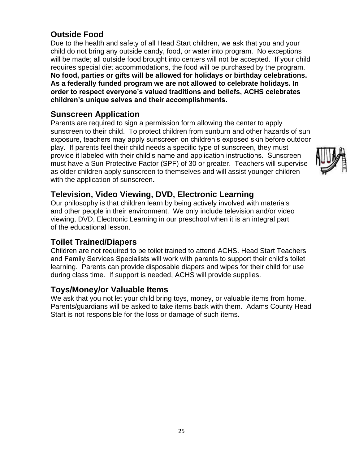# **Outside Food**

Due to the health and safety of all Head Start children, we ask that you and your child do not bring any outside candy, food, or water into program. No exceptions will be made; all outside food brought into centers will not be accepted. If your child requires special diet accommodations, the food will be purchased by the program. **No food, parties or gifts will be allowed for holidays or birthday celebrations. As a federally funded program we are not allowed to celebrate holidays. In order to respect everyone's valued traditions and beliefs, ACHS celebrates children's unique selves and their accomplishments.** 

### **Sunscreen Application**

Parents are required to sign a permission form allowing the center to apply sunscreen to their child. To protect children from sunburn and other hazards of sun exposure, teachers may apply sunscreen on children's exposed skin before outdoor play. If parents feel their child needs a specific type of sunscreen, they must provide it labeled with their child's name and application instructions. Sunscreen must have a Sun Protective Factor (SPF) of 30 or greater. Teachers will supervise as older children apply sunscreen to themselves and will assist younger children with the application of sunscreen**.** 



# **Television, Video Viewing, DVD, Electronic Learning**

Our philosophy is that children learn by being actively involved with materials and other people in their environment. We only include television and/or video viewing, DVD, Electronic Learning in our preschool when it is an integral part of the educational lesson.

### **Toilet Trained/Diapers**

Children are not required to be toilet trained to attend ACHS. Head Start Teachers and Family Services Specialists will work with parents to support their child's toilet learning. Parents can provide disposable diapers and wipes for their child for use during class time. If support is needed, ACHS will provide supplies.

### **Toys/Money/or Valuable Items**

We ask that you not let your child bring toys, money, or valuable items from home. Parents/guardians will be asked to take items back with them. Adams County Head Start is not responsible for the loss or damage of such items.